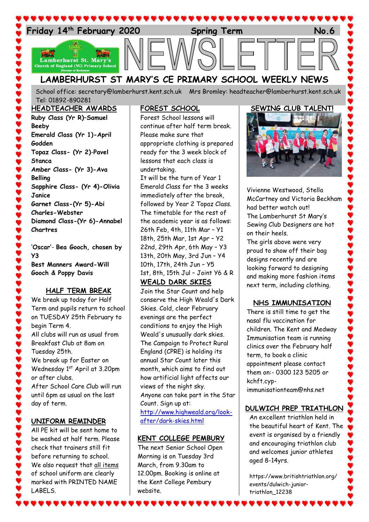

School office: [secretary@lamberhurst.kent.sch.uk](mailto:secretary@lamberhurst.kent.sch.uk) Mrs Bromley: headteacher@lamberhurst.kent.sch.uk Tel: 01892-890281

## **HEADTEACHER AWARDS Ruby Class (Yr R)**–**Samuel Beeby Emerald Class (Yr 1)-April Godden Topaz Class- (Yr 2)**-**Pavel Stanca Amber Class- (Yr 3)-Ava Belling Sapphire Class- (Yr 4)-Olivia Janice Garnet Class-(Yr 5)-Abi Charles-Webster Diamond Class-(Yr 6)-Annabel Chartres**

**'Oscar'**- **Bea Gooch, chosen by Y3 Best Manners Award-Will Gooch & Poppy Davis**

#### **HALF TERM BREAK**

We break up today for Half Term and pupils return to school on TUESDAY 25th February to begin Term 4. All clubs will run as usual from Breakfast Club at 8am on Tuesday 25th. We break up for Easter on Wednesday 1<sup>st</sup> April at 3.20pm or after clubs. After School Care Club will run until 6pm as usual on the last day of term.

## **UNIFORM REMINDER**

All PE kit will be sent home to be washed at half term. Please check that trainers still fit before returning to school. We also request that all items of school uniform are clearly marked with PRINTED NAME LABELS.

## **FOREST SCHOOL**

Forest School lessons will continue after half term break. Please make sure that appropriate clothing is prepared ready for the 3 week block of lessons that each class is undertaking. It will be the turn of Year 1

Emerald Class for the 3 weeks immediately after the break, followed by Year 2 Topaz Class. The timetable for the rest of the academic year is as follows: 26th Feb, 4th, 11th Mar – Y1 18th, 25th Mar, 1st Apr – Y2 22nd, 29th Apr, 6th May – Y3 13th, 20th May, 3rd Jun – Y4 10th, 17th, 24th Jun – Y5 1st, 8th, 15th Jul – Joint Y6 & R

#### **WEALD DARK SKIES**

Join the Star Count and help conserve the High Weald's Dark Skies. Cold, clear February evenings are the perfect conditions to enjoy the High Weald's unusually dark skies. The Campaign to Protect Rural England (CPRE) is holding its annual Star Count later this month, which aims to find out how artificial light affects our views of the night sky. Anyone can take part in the Star Count. Sign up at: [http://www.highweald.org/look](http://www.highweald.org/look-after/dark-skies.html)[after/dark-skies.html](http://www.highweald.org/look-after/dark-skies.html)

## **KENT COLLEGE PEMBURY**

The next Senior School Open Morning is on Tuesday 3rd March, from 9.30am to 12.00pm. Booking is online at the Kent College Pembury website.

## **SEWING CLUB TALENT!**



Vivienne Westwood, Stella McCartney and Victoria Beckham had better watch out! The Lamberhurst St Mary's Sewing Club Designers are hot on their heels.

The girls above were very proud to show off their bag designs recently and are looking forward to designing and making more fashion items next term, including clothing.

## **NHS IMMUNISATION**

There is still time to get the nasal flu vaccination for children. The Kent and Medway Immunisation team is running clinics over the February half term, to book a clinic appointment please contact them on:- 0300 123 5205 or kchft.cypimmunisationteam@nhs.net

## **DULWICH PREP TRIATHLON**

An excellent triathlon held in the beautiful heart of Kent. The event is organised by a friendly and encouraging triathlon club and welcomes junior athletes aged 8-14yrs.

https://www.britishtriathlon.org/ events/dulwich-juniortriathlon\_12238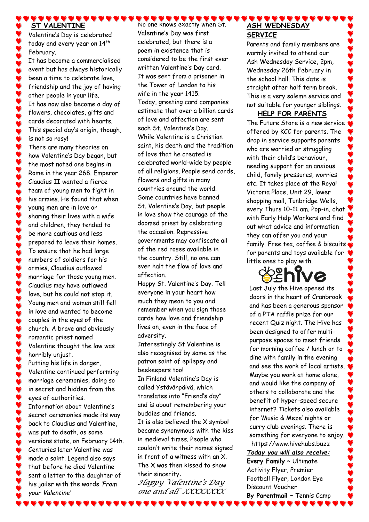#### $\bullet\bullet\bullet\bullet\bullet$ **ST VALENTINE**

Valentine's Day is celebrated today and every year on 14<sup>th</sup> February.

It has become a commercialised event but has always historically been a time to celebrate love, friendship and the joy of having other people in your life. It has now also become a day of flowers, chocolates, gifts and cards decorated with hearts. This special day's origin, though, is not so rosy! There are many theories on

how Valentine's Day began, but the most noted one begins in Rome in the year 268. Emperor Claudius II wanted a fierce team of young men to fight in his armies. He found that when young men are in love or sharing their lives with a wife and children, they tended to be more cautious and less prepared to leave their homes. To ensure that he had large numbers of soldiers for his armies, Claudius outlawed marriage for those young men. Claudius may have outlawed love, but he could not stop it. Young men and women still fell in love and wanted to become couples in the eyes of the church. A brave and obviously romantic priest named Valentine thought the law was horribly unjust. Putting his life in danger, Valentine continued performing marriage ceremonies, doing so in secret and hidden from the

eyes of authorities. Information about Valentine's secret ceremonies made its way back to Claudius and Valentine, was put to death, as some versions state, on February 14th. Centuries later Valentine was made a saint. Legend also says that before he died Valentine sent a letter to the daughter of his jailer with the words *'From your Valentine'*

No one knows exactly when St. Valentine's Day was first celebrated, but there is a poem in existence that is considered to be the first ever written Valentine's Day card. It was sent from a prisoner in the Tower of London to his wife in the year 1415. Today, greeting card companies estimate that over a billion cards of love and affection are sent each St. Valentine's Day. While Valentine is a Christian saint, his death and the tradition of love that he created is celebrated world-wide by people of all religions. People send cards, flowers and gifts in many countries around the world. Some countries have banned St. Valentine's Day, but people in love show the courage of the doomed priest by celebrating the occasion. Repressive governments may confiscate all of the red roses available in the country. Still, no one can ever halt the flow of love and affection.

 $\bullet$  . . . . . . .

Happy St. Valentine's Day. Tell everyone in your heart how much they mean to you and remember when you sign those cards how love and friendship lives on, even in the face of adversity.

Interestingly St Valentine is also recognised by some as the patron saint of epilepsy and beekeepers too!

In Finland Valentine's Day is called Ystävänpäivä, which translates into "Friend's day" and is about remembering your buddies and friends.

It is also believed the X symbol became synonymous with the kiss in medieval times. People who couldn't write their names signed in front of a witness with an X. The X was then kissed to show their sincerity.

*Happy Valentine's Day one and all XXXXXXXX*

# **ASH WEDNESDAY SERVICE**

Parents and family members are warmly invited to attend our Ash Wednesday Service, 2pm, Wednesday 26th February in the school hall. This date is straight after half term break. This is a very solemn service and not suitable for younger siblings.

## **HELP FOR PARENTS**

The Future Store is a new service offered by KCC for parents. The drop in service supports parents who are worried or struggling with their child's behaviour, needing support for an anxious child, family pressures, worries etc. It takes place at the Royal Victoria Place, Unit 29, lower shopping mall, Tunbridge Wells, every Thurs 10-11 am. Pop-in, chat with Early Help Workers and find out what advice and information they can offer you and your family. Free tea, coffee & biscuits for parents and toys available for little ones to play with.



Last July the Hive opened its doors in the heart of Cranbrook and has been a generous sponsor of a PTA raffle prize for our recent Quiz night. The Hive has been designed to offer multipurpose spaces to meet friends for morning coffee / lunch or to dine with family in the evening and see the work of local artists. Maybe you work at home alone, and would like the company of others to collaborate and the benefit of hyper-speed secure internet? Tickets also available for 'Music & Meze' nights or curry club evenings. There is something for everyone to enjoy. https://www.hivehubs.buzz

*Today you will also receive:* **Every Family** ~ Ultimate Activity Flyer, Premier Football Flyer, London Eye Discount Voucher **By Parentmail** ~ Tennis Camp